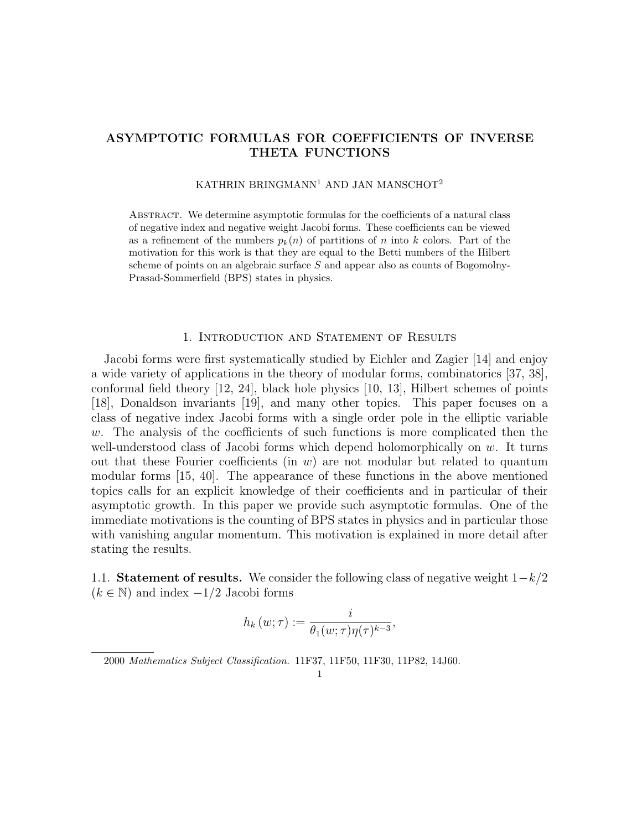## ASYMPTOTIC FORMULAS FOR COEFFICIENTS OF INVERSE THETA FUNCTIONS

## KATHRIN BRINGMANN<sup>1</sup> AND JAN MANSCHOT<sup>2</sup>

Abstract. We determine asymptotic formulas for the coefficients of a natural class of negative index and negative weight Jacobi forms. These coefficients can be viewed as a refinement of the numbers  $p_k(n)$  of partitions of n into k colors. Part of the motivation for this work is that they are equal to the Betti numbers of the Hilbert scheme of points on an algebraic surface S and appear also as counts of Bogomolny-Prasad-Sommerfield (BPS) states in physics.

#### 1. Introduction and Statement of Results

Jacobi forms were first systematically studied by Eichler and Zagier [14] and enjoy a wide variety of applications in the theory of modular forms, combinatorics [37, 38], conformal field theory [12, 24], black hole physics [10, 13], Hilbert schemes of points [18], Donaldson invariants [19], and many other topics. This paper focuses on a class of negative index Jacobi forms with a single order pole in the elliptic variable  $w$ . The analysis of the coefficients of such functions is more complicated then the well-understood class of Jacobi forms which depend holomorphically on  $w$ . It turns out that these Fourier coefficients (in  $w$ ) are not modular but related to quantum modular forms [15, 40]. The appearance of these functions in the above mentioned topics calls for an explicit knowledge of their coefficients and in particular of their asymptotic growth. In this paper we provide such asymptotic formulas. One of the immediate motivations is the counting of BPS states in physics and in particular those with vanishing angular momentum. This motivation is explained in more detail after stating the results.

1.1. Statement of results. We consider the following class of negative weight  $1-k/2$  $(k \in \mathbb{N})$  and index  $-1/2$  Jacobi forms

$$
h_k(w;\tau) := \frac{i}{\theta_1(w;\tau)\eta(\tau)^{k-3}},
$$

<sup>2000</sup> Mathematics Subject Classification. 11F37, 11F50, 11F30, 11P82, 14J60.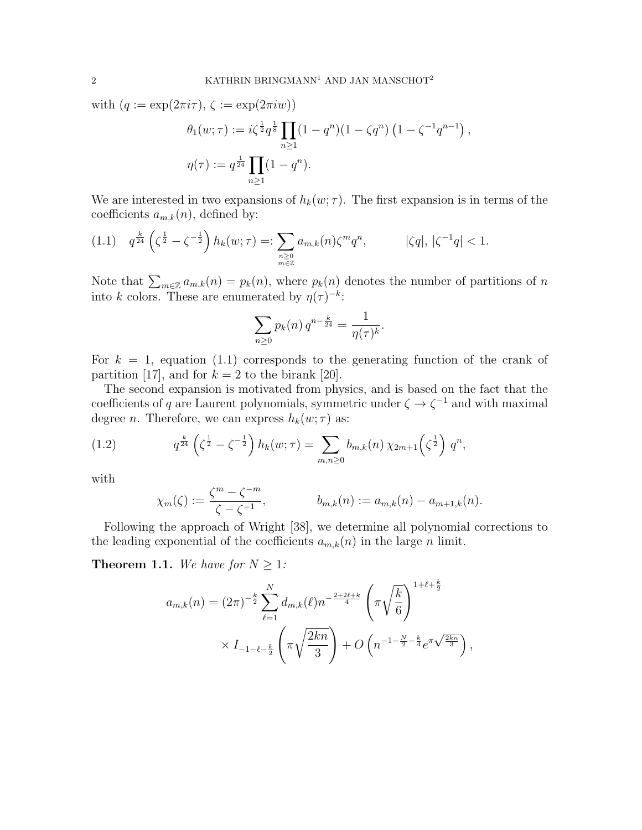with  $(q := \exp(2\pi i \tau), \zeta := \exp(2\pi i w))$ 

$$
\theta_1(w;\tau) := i\zeta^{\frac{1}{2}} q^{\frac{1}{8}} \prod_{n\geq 1} (1-q^n)(1-\zeta q^n) (1-\zeta^{-1}q^{n-1}),
$$
  

$$
\eta(\tau) := q^{\frac{1}{24}} \prod_{n\geq 1} (1-q^n).
$$

We are interested in two expansions of  $h_k(w; \tau)$ . The first expansion is in terms of the coefficients  $a_{m,k}(n)$ , defined by:

$$
(1.1) \quad q^{\frac{k}{24}} \left( \zeta^{\frac{1}{2}} - \zeta^{-\frac{1}{2}} \right) h_k(w;\tau) =: \sum_{\substack{n \geq 0 \\ m \in \mathbb{Z}}} a_{m,k}(n) \zeta^m q^n, \qquad |\zeta q|, \ |\zeta^{-1} q| < 1.
$$

Note that  $\sum_{m\in\mathbb{Z}} a_{m,k}(n) = p_k(n)$ , where  $p_k(n)$  denotes the number of partitions of n into k colors. These are enumerated by  $\eta(\tau)^{-k}$ :

$$
\sum_{n\geq 0} p_k(n) q^{n-\frac{k}{24}} = \frac{1}{\eta(\tau)^k}.
$$

For  $k = 1$ , equation (1.1) corresponds to the generating function of the crank of partition [17], and for  $k = 2$  to the birank [20].

The second expansion is motivated from physics, and is based on the fact that the coefficients of q are Laurent polynomials, symmetric under  $\zeta \to \zeta^{-1}$  and with maximal degree *n*. Therefore, we can express  $h_k(w; \tau)$  as:

(1.2) 
$$
q^{\frac{k}{24}} \left( \zeta^{\frac{1}{2}} - \zeta^{-\frac{1}{2}} \right) h_k(w;\tau) = \sum_{m,n \geq 0} b_{m,k}(n) \chi_{2m+1} \left( \zeta^{\frac{1}{2}} \right) q^n,
$$

with

$$
\chi_m(\zeta) := \frac{\zeta^m - \zeta^{-m}}{\zeta - \zeta^{-1}}, \qquad b_{m,k}(n) := a_{m,k}(n) - a_{m+1,k}(n).
$$

Following the approach of Wright [38], we determine all polynomial corrections to the leading exponential of the coefficients  $a_{m,k}(n)$  in the large n limit.

**Theorem 1.1.** We have for  $N \geq 1$ :

$$
a_{m,k}(n) = (2\pi)^{-\frac{k}{2}} \sum_{\ell=1}^{N} d_{m,k}(\ell) n^{-\frac{2+2\ell+k}{4}} \left(\pi \sqrt{\frac{k}{6}}\right)^{1+\ell+\frac{k}{2}}
$$

$$
\times I_{-1-\ell-\frac{k}{2}} \left(\pi \sqrt{\frac{2kn}{3}}\right) + O\left(n^{-1-\frac{N}{2}-\frac{k}{4}} e^{\pi \sqrt{\frac{2kn}{3}}}\right),
$$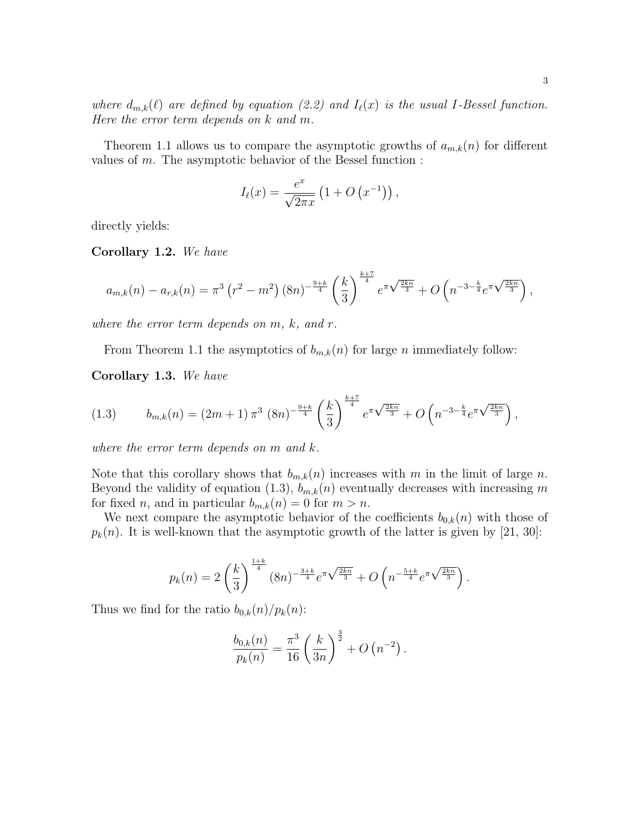Theorem 1.1 allows us to compare the asymptotic growths of  $a_{m,k}(n)$  for different values of  $m$ . The asymptotic behavior of the Bessel function :

$$
I_{\ell}(x) = \frac{e^x}{\sqrt{2\pi x}} \left(1 + O\left(x^{-1}\right)\right),\,
$$

directly yields:

Corollary 1.2. We have

$$
a_{m,k}(n) - a_{r,k}(n) = \pi^3 \left( r^2 - m^2 \right) \left( 8n \right)^{-\frac{9+k}{4}} \left( \frac{k}{3} \right)^{\frac{k+7}{4}} e^{\pi \sqrt{\frac{2kn}{3}}} + O\left( n^{-3 - \frac{k}{4}} e^{\pi \sqrt{\frac{2kn}{3}}} \right),
$$

where the error term depends on  $m$ ,  $k$ , and  $r$ .

From Theorem 1.1 the asymptotics of  $b_{m,k}(n)$  for large n immediately follow:

Corollary 1.3. We have

$$
(1.3) \t b_{m,k}(n) = (2m+1)\,\pi^3\,(8n)^{-\frac{9+k}{4}}\left(\frac{k}{3}\right)^{\frac{k+7}{4}}e^{\pi\sqrt{\frac{2kn}{3}}} + O\left(n^{-3-\frac{k}{4}}e^{\pi\sqrt{\frac{2kn}{3}}}\right),
$$

where the error term depends on m and k.

Note that this corollary shows that  $b_{m,k}(n)$  increases with m in the limit of large n. Beyond the validity of equation (1.3),  $b_{m,k}(n)$  eventually decreases with increasing m for fixed *n*, and in particular  $b_{m,k}(n) = 0$  for  $m > n$ .

We next compare the asymptotic behavior of the coefficients  $b_{0,k}(n)$  with those of  $p_k(n)$ . It is well-known that the asymptotic growth of the latter is given by [21, 30]:

$$
p_k(n) = 2\left(\frac{k}{3}\right)^{\frac{1+k}{4}} (8n)^{-\frac{3+k}{4}} e^{\pi \sqrt{\frac{2kn}{3}}} + O\left(n^{-\frac{5+k}{4}} e^{\pi \sqrt{\frac{2kn}{3}}}\right).
$$

Thus we find for the ratio  $b_{0,k}(n)/p_k(n)$ :

$$
\frac{b_{0,k}(n)}{p_k(n)} = \frac{\pi^3}{16} \left(\frac{k}{3n}\right)^{\frac{3}{2}} + O\left(n^{-2}\right).
$$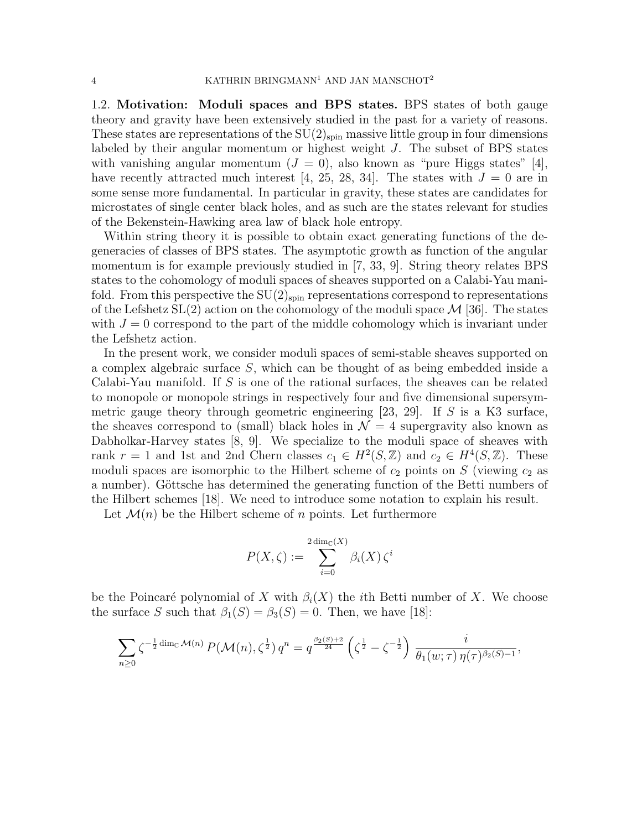1.2. Motivation: Moduli spaces and BPS states. BPS states of both gauge theory and gravity have been extensively studied in the past for a variety of reasons. These states are representations of the  $SU(2)_{spin}$  massive little group in four dimensions labeled by their angular momentum or highest weight J. The subset of BPS states with vanishing angular momentum ( $J = 0$ ), also known as "pure Higgs states" [4], have recently attracted much interest [4, 25, 28, 34]. The states with  $J = 0$  are in some sense more fundamental. In particular in gravity, these states are candidates for microstates of single center black holes, and as such are the states relevant for studies of the Bekenstein-Hawking area law of black hole entropy.

Within string theory it is possible to obtain exact generating functions of the degeneracies of classes of BPS states. The asymptotic growth as function of the angular momentum is for example previously studied in [7, 33, 9]. String theory relates BPS states to the cohomology of moduli spaces of sheaves supported on a Calabi-Yau manifold. From this perspective the  $SU(2)_{spin}$  representations correspond to representations of the Lefshetz  $SL(2)$  action on the cohomology of the moduli space  $\mathcal{M}$  [36]. The states with  $J = 0$  correspond to the part of the middle cohomology which is invariant under the Lefshetz action.

In the present work, we consider moduli spaces of semi-stable sheaves supported on a complex algebraic surface S, which can be thought of as being embedded inside a Calabi-Yau manifold. If S is one of the rational surfaces, the sheaves can be related to monopole or monopole strings in respectively four and five dimensional supersymmetric gauge theory through geometric engineering  $[23, 29]$ . If S is a K3 surface, the sheaves correspond to (small) black holes in  $\mathcal{N} = 4$  supergravity also known as Dabholkar-Harvey states [8, 9]. We specialize to the moduli space of sheaves with rank  $r = 1$  and 1st and 2nd Chern classes  $c_1 \in H^2(S, \mathbb{Z})$  and  $c_2 \in H^4(S, \mathbb{Z})$ . These moduli spaces are isomorphic to the Hilbert scheme of  $c_2$  points on S (viewing  $c_2$  as a number). Göttsche has determined the generating function of the Betti numbers of the Hilbert schemes [18]. We need to introduce some notation to explain his result.

Let  $\mathcal{M}(n)$  be the Hilbert scheme of n points. Let furthermore

$$
P(X,\zeta) := \sum_{i=0}^{2 \dim_{\mathbb{C}}(X)} \beta_i(X) \zeta^i
$$

be the Poincaré polynomial of X with  $\beta_i(X)$  the *i*th Betti number of X. We choose the surface S such that  $\beta_1(S) = \beta_3(S) = 0$ . Then, we have [18]:

$$
\sum_{n\geq 0} \zeta^{-\frac{1}{2} \dim_{\mathbb{C}} \mathcal{M}(n)} P(\mathcal{M}(n), \zeta^{\frac{1}{2}}) q^n = q^{\frac{\beta_2(S)+2}{24}} \left( \zeta^{\frac{1}{2}} - \zeta^{-\frac{1}{2}} \right) \frac{i}{\theta_1(w; \tau) \eta(\tau)^{\beta_2(S)-1}}
$$

,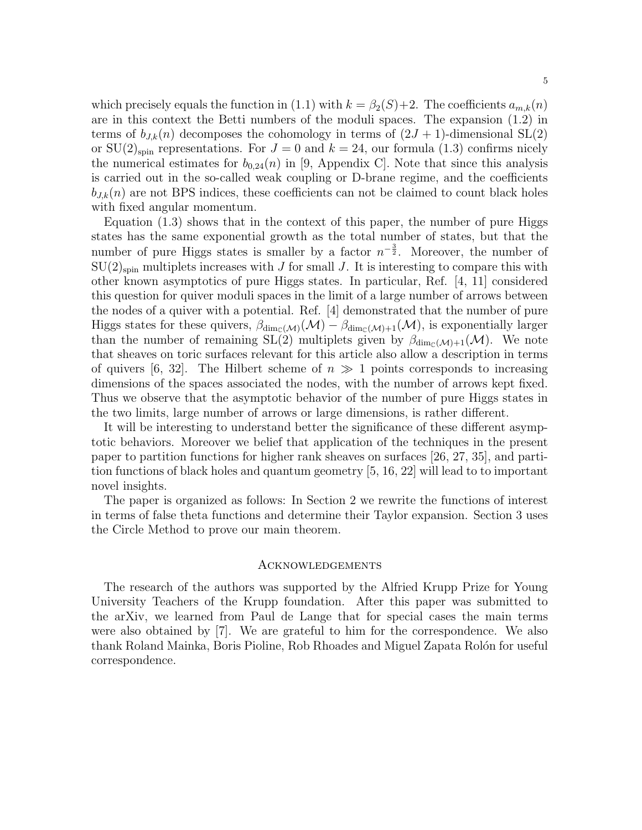which precisely equals the function in (1.1) with  $k = \beta_2(S) + 2$ . The coefficients  $a_{m,k}(n)$ are in this context the Betti numbers of the moduli spaces. The expansion (1.2) in terms of  $b_{J,k}(n)$  decomposes the cohomology in terms of  $(2J + 1)$ -dimensional SL(2) or  $SU(2)_{spin}$  representations. For  $J=0$  and  $k=24$ , our formula (1.3) confirms nicely the numerical estimates for  $b_{0,24}(n)$  in [9, Appendix C]. Note that since this analysis is carried out in the so-called weak coupling or D-brane regime, and the coefficients  $b_{J,k}(n)$  are not BPS indices, these coefficients can not be claimed to count black holes with fixed angular momentum.

Equation (1.3) shows that in the context of this paper, the number of pure Higgs states has the same exponential growth as the total number of states, but that the number of pure Higgs states is smaller by a factor  $n^{-\frac{3}{2}}$ . Moreover, the number of  $SU(2)_{spin}$  multiplets increases with J for small J. It is interesting to compare this with other known asymptotics of pure Higgs states. In particular, Ref. [4, 11] considered this question for quiver moduli spaces in the limit of a large number of arrows between the nodes of a quiver with a potential. Ref. [4] demonstrated that the number of pure Higgs states for these quivers,  $\beta_{\dim_{\mathbb{C}}(\mathcal{M})}(\mathcal{M}) - \beta_{\dim_{\mathbb{C}}(\mathcal{M})+1}(\mathcal{M})$ , is exponentially larger than the number of remaining SL(2) multiplets given by  $\beta_{\text{dim}_{\mathbb{C}}(\mathcal{M})+1}(\mathcal{M})$ . We note that sheaves on toric surfaces relevant for this article also allow a description in terms of quivers [6, 32]. The Hilbert scheme of  $n \gg 1$  points corresponds to increasing dimensions of the spaces associated the nodes, with the number of arrows kept fixed. Thus we observe that the asymptotic behavior of the number of pure Higgs states in the two limits, large number of arrows or large dimensions, is rather different.

It will be interesting to understand better the significance of these different asymptotic behaviors. Moreover we belief that application of the techniques in the present paper to partition functions for higher rank sheaves on surfaces [26, 27, 35], and partition functions of black holes and quantum geometry [5, 16, 22] will lead to to important novel insights.

The paper is organized as follows: In Section 2 we rewrite the functions of interest in terms of false theta functions and determine their Taylor expansion. Section 3 uses the Circle Method to prove our main theorem.

#### Acknowledgements

The research of the authors was supported by the Alfried Krupp Prize for Young University Teachers of the Krupp foundation. After this paper was submitted to the arXiv, we learned from Paul de Lange that for special cases the main terms were also obtained by  $|7|$ . We are grateful to him for the correspondence. We also thank Roland Mainka, Boris Pioline, Rob Rhoades and Miguel Zapata Rolón for useful correspondence.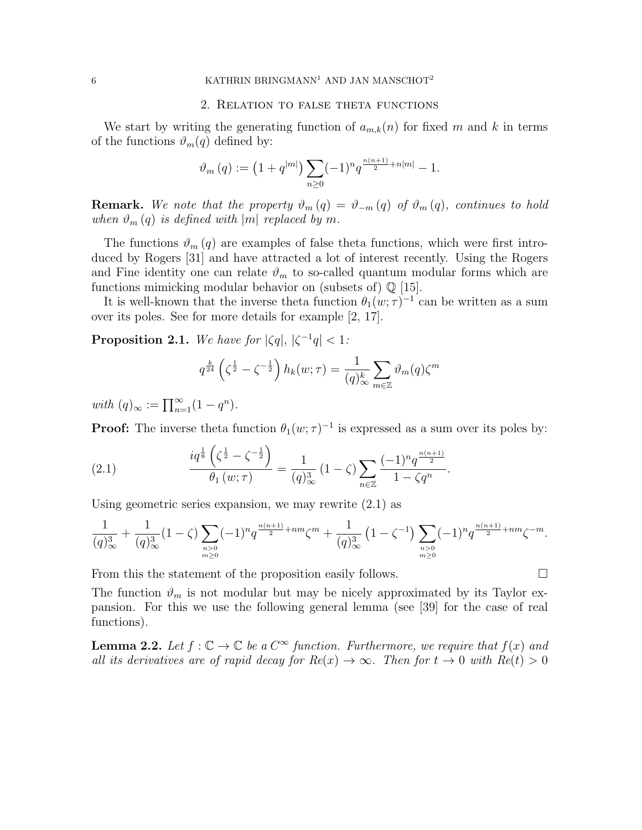#### 2. Relation to false theta functions

We start by writing the generating function of  $a_{m,k}(n)$  for fixed m and k in terms of the functions  $\vartheta_m(q)$  defined by:

$$
\vartheta_m(q) := \left(1 + q^{|m|}\right) \sum_{n \geq 0} (-1)^n q^{\frac{n(n+1)}{2} + n|m|} - 1.
$$

**Remark.** We note that the property  $\vartheta_m(q) = \vartheta_{-m}(q)$  of  $\vartheta_m(q)$ , continues to hold when  $\vartheta_m(q)$  is defined with |m| replaced by m.

The functions  $\vartheta_m(q)$  are examples of false theta functions, which were first introduced by Rogers [31] and have attracted a lot of interest recently. Using the Rogers and Fine identity one can relate  $\vartheta_m$  to so-called quantum modular forms which are functions mimicking modular behavior on (subsets of)  $\mathbb{Q}$  [15].

It is well-known that the inverse theta function  $\theta_1(w;\tau)^{-1}$  can be written as a sum over its poles. See for more details for example [2, 17].

**Proposition 2.1.** We have for  $|\zeta q|, |\zeta^{-1} q| < 1$ :

$$
q^{\frac{k}{24}}\left(\zeta^{\frac{1}{2}}-\zeta^{-\frac{1}{2}}\right)h_k(w;\tau) = \frac{1}{(q)_{\infty}^k} \sum_{m \in \mathbb{Z}} \vartheta_m(q)\zeta^m
$$

with  $(q)_{\infty} := \prod_{n=1}^{\infty} (1 - q^n).$ 

**Proof:** The inverse theta function  $\theta_1(w;\tau)^{-1}$  is expressed as a sum over its poles by:

(2.1) 
$$
\frac{iq^{\frac{1}{8}}\left(\zeta^{\frac{1}{2}}-\zeta^{-\frac{1}{2}}\right)}{\theta_1(w;\tau)}=\frac{1}{(q)_{\infty}^3}\left(1-\zeta\right)\sum_{n\in\mathbb{Z}}\frac{(-1)^nq^{\frac{n(n+1)}{2}}}{1-\zeta q^n}.
$$

Using geometric series expansion, we may rewrite  $(2.1)$  as

$$
\frac{1}{(q)_{\infty}^3} + \frac{1}{(q)_{\infty}^3} (1 - \zeta) \sum_{\substack{n > 0 \\ m \ge 0}} (-1)^n q^{\frac{n(n+1)}{2} + nm} \zeta^m + \frac{1}{(q)_{\infty}^3} \left(1 - \zeta^{-1}\right) \sum_{\substack{n > 0 \\ m \ge 0}} (-1)^n q^{\frac{n(n+1)}{2} + nm} \zeta^{-m}.
$$

From this the statement of the proposition easily follows.

The function  $\vartheta_m$  is not modular but may be nicely approximated by its Taylor expansion. For this we use the following general lemma (see [39] for the case of real functions).

**Lemma 2.2.** Let  $f : \mathbb{C} \to \mathbb{C}$  be a  $C^{\infty}$  function. Furthermore, we require that  $f(x)$  and all its derivatives are of rapid decay for  $Re(x) \to \infty$ . Then for  $t \to 0$  with  $Re(t) > 0$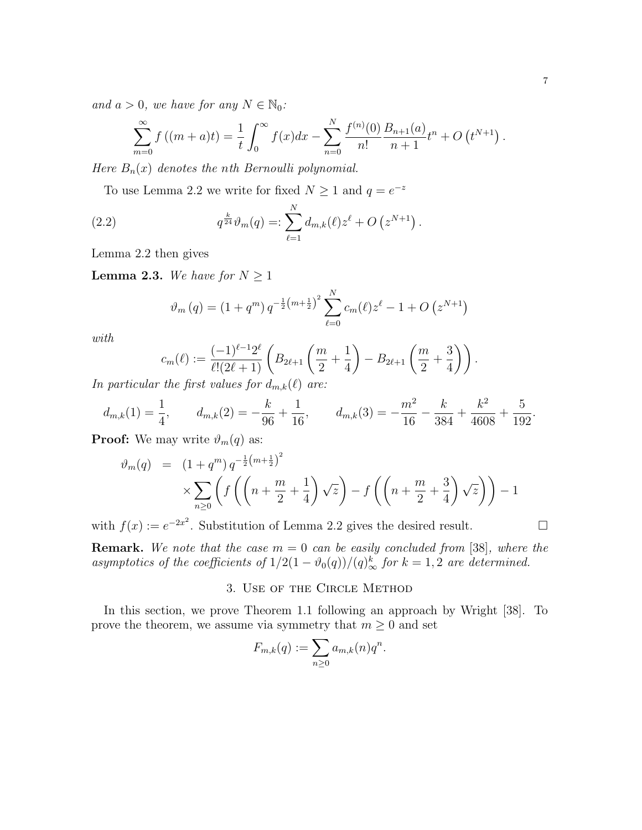and  $a > 0$ , we have for any  $N \in \mathbb{N}_0$ :

$$
\sum_{m=0}^{\infty} f((m+a)t) = \frac{1}{t} \int_0^{\infty} f(x)dx - \sum_{n=0}^{N} \frac{f^{(n)}(0)}{n!} \frac{B_{n+1}(a)}{n+1} t^n + O(t^{N+1}).
$$

Here  $B_n(x)$  denotes the nth Bernoulli polynomial.

To use Lemma 2.2 we write for fixed  $N \geq 1$  and  $q = e^{-z}$ 

(2.2) 
$$
q^{\frac{k}{24}} \vartheta_m(q) =: \sum_{\ell=1}^N d_{m,k}(\ell) z^{\ell} + O\left(z^{N+1}\right).
$$

Lemma 2.2 then gives

**Lemma 2.3.** We have for  $N \geq 1$ 

$$
\vartheta_m(q) = (1 + q^m) q^{-\frac{1}{2}(m + \frac{1}{2})^2} \sum_{\ell=0}^N c_m(\ell) z^{\ell} - 1 + O(z^{N+1})
$$

with

$$
c_m(\ell) := \frac{(-1)^{\ell-1} 2^{\ell}}{\ell! (2\ell+1)} \left( B_{2\ell+1} \left( \frac{m}{2} + \frac{1}{4} \right) - B_{2\ell+1} \left( \frac{m}{2} + \frac{3}{4} \right) \right).
$$

In particular the first values for  $d_{m,k}(\ell)$  are:

$$
d_{m,k}(1) = \frac{1}{4}, \qquad d_{m,k}(2) = -\frac{k}{96} + \frac{1}{16}, \qquad d_{m,k}(3) = -\frac{m^2}{16} - \frac{k}{384} + \frac{k^2}{4608} + \frac{5}{192}.
$$

**Proof:** We may write  $\vartheta_m(q)$  as:

$$
\vartheta_m(q) = (1+q^m) q^{-\frac{1}{2}(m+\frac{1}{2})^2} \times \sum_{n\geq 0} \left( f\left( \left( n + \frac{m}{2} + \frac{1}{4} \right) \sqrt{z} \right) - f\left( \left( n + \frac{m}{2} + \frac{3}{4} \right) \sqrt{z} \right) \right) - 1
$$

with  $f(x) := e^{-2x^2}$ . Substitution of Lemma 2.2 gives the desired result.

**Remark.** We note that the case  $m = 0$  can be easily concluded from [38], where the asymptotics of the coefficients of  $1/2(1-\vartheta_0(q))/(q)_{\infty}^k$  for  $k=1,2$  are determined.

## 3. Use of the Circle Method

In this section, we prove Theorem 1.1 following an approach by Wright [38]. To prove the theorem, we assume via symmetry that  $m\geq 0$  and set

$$
F_{m,k}(q) := \sum_{n\geq 0} a_{m,k}(n) q^n.
$$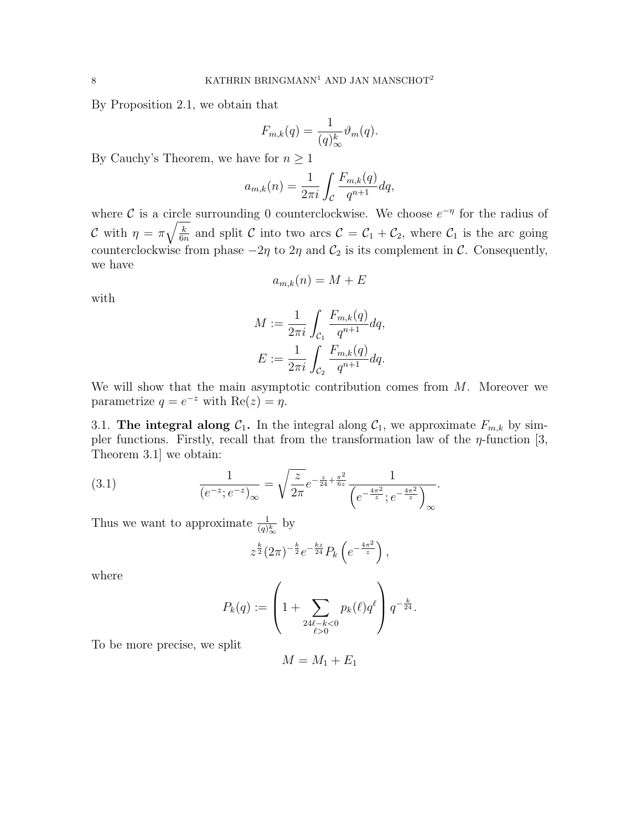By Proposition 2.1, we obtain that

$$
F_{m,k}(q) = \frac{1}{(q)_{\infty}^k} \vartheta_m(q).
$$

By Cauchy's Theorem, we have for  $n \geq 1$ 

$$
a_{m,k}(n) = \frac{1}{2\pi i} \int_{\mathcal{C}} \frac{F_{m,k}(q)}{q^{n+1}} dq,
$$

where C is a circle surrounding 0 counterclockwise. We choose  $e^{-\eta}$  for the radius of C with  $\eta = \pi \sqrt{\frac{k}{6n}}$  $\frac{k}{6n}$  and split C into two arcs  $C = C_1 + C_2$ , where  $C_1$  is the arc going counterclockwise from phase  $-2\eta$  to  $2\eta$  and  $C_2$  is its complement in C. Consequently, we have

$$
a_{m,k}(n) = M + E
$$

with

$$
M := \frac{1}{2\pi i} \int_{C_1} \frac{F_{m,k}(q)}{q^{n+1}} dq,
$$
  

$$
E := \frac{1}{2\pi i} \int_{C_2} \frac{F_{m,k}(q)}{q^{n+1}} dq.
$$

We will show that the main asymptotic contribution comes from  $M$ . Moreover we parametrize  $q = e^{-z}$  with  $Re(z) = \eta$ .

3.1. The integral along  $C_1$ . In the integral along  $C_1$ , we approximate  $F_{m,k}$  by simpler functions. Firstly, recall that from the transformation law of the  $\eta$ -function [3, Theorem 3.1] we obtain:

(3.1) 
$$
\frac{1}{(e^{-z}; e^{-z})_{\infty}} = \sqrt{\frac{z}{2\pi}} e^{-\frac{z}{24} + \frac{\pi^2}{6z}} \frac{1}{\left(e^{-\frac{4\pi^2}{z}}; e^{-\frac{4\pi^2}{z}}\right)_{\infty}}.
$$

Thus we want to approximate  $\frac{1}{(q)_{\infty}^{k}}$  by

$$
z^{\frac{k}{2}} (2\pi)^{-\frac{k}{2}} e^{-\frac{kz}{24}} P_k \left( e^{-\frac{4\pi^2}{z}} \right),
$$

where

$$
P_k(q) := \left(1 + \sum_{\substack{24\ell - k < 0 \\ \ell > 0}} p_k(\ell) q^{\ell} \right) q^{-\frac{k}{24}}.
$$

To be more precise, we split

$$
M = M_1 + E_1
$$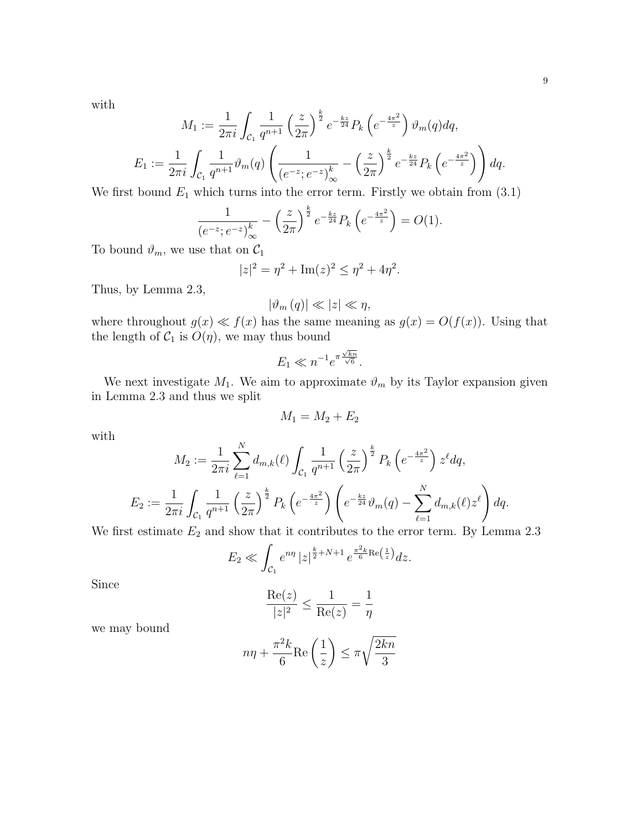with

$$
M_1 := \frac{1}{2\pi i} \int_{\mathcal{C}_1} \frac{1}{q^{n+1}} \left(\frac{z}{2\pi}\right)^{\frac{k}{2}} e^{-\frac{kz}{24}} P_k \left(e^{-\frac{4\pi^2}{z}}\right) \vartheta_m(q) dq,
$$
  
\n
$$
E_1 := \frac{1}{2\pi i} \int_{\mathcal{C}_1} \frac{1}{q^{n+1}} \vartheta_m(q) \left(\frac{1}{(e^{-z}; e^{-z})_{\infty}^k} - \left(\frac{z}{2\pi}\right)^{\frac{k}{2}} e^{-\frac{kz}{24}} P_k \left(e^{-\frac{4\pi^2}{z}}\right)\right) dq.
$$

We first bound  $E_1$  which turns into the error term. Firstly we obtain from  $(3.1)$ 

$$
\frac{1}{(e^{-z}; e^{-z})_{\infty}^k} - \left(\frac{z}{2\pi}\right)^{\frac{k}{2}} e^{-\frac{kz}{24}} P_k \left(e^{-\frac{4\pi^2}{z}}\right) = O(1).
$$

To bound  $\vartheta_m$ , we use that on  $\mathcal{C}_1$ 

$$
|z|^2 = \eta^2 + \text{Im}(z)^2 \le \eta^2 + 4\eta^2.
$$

Thus, by Lemma 2.3,

$$
|\vartheta_m(q)| \ll |z| \ll \eta,
$$

where throughout  $g(x) \ll f(x)$  has the same meaning as  $g(x) = O(f(x))$ . Using that the length of  $C_1$  is  $O(\eta)$ , we may thus bound

$$
E_1 \ll n^{-1} e^{\pi \frac{\sqrt{kn}}{\sqrt{6}}}.
$$

We next investigate  $M_1$ . We aim to approximate  $\vartheta_m$  by its Taylor expansion given in Lemma 2.3 and thus we split

$$
M_1 = M_2 + E_2
$$

with

$$
M_2 := \frac{1}{2\pi i} \sum_{\ell=1}^N d_{m,k}(\ell) \int_{\mathcal{C}_1} \frac{1}{q^{n+1}} \left(\frac{z}{2\pi}\right)^{\frac{k}{2}} P_k\left(e^{-\frac{4\pi^2}{z}}\right) z^{\ell} dq,
$$
  

$$
E_2 := \frac{1}{2\pi i} \int_{\mathcal{C}_1} \frac{1}{q^{n+1}} \left(\frac{z}{2\pi}\right)^{\frac{k}{2}} P_k\left(e^{-\frac{4\pi^2}{z}}\right) \left(e^{-\frac{kz}{24}} \vartheta_m(q) - \sum_{\ell=1}^N d_{m,k}(\ell) z^{\ell}\right) dq.
$$

We first estimate  $E_2$  and show that it contributes to the error term. By Lemma 2.3

$$
E_2 \ll \int_{\mathcal{C}_1} e^{n\eta} |z|^{\frac{k}{2} + N + 1} e^{\frac{\pi^2 k}{6} \text{Re}\left(\frac{1}{z}\right)} dz.
$$

Since

$$
\frac{\text{Re}(z)}{|z|^2} \le \frac{1}{\text{Re}(z)} = \frac{1}{\eta}
$$

we may bound

$$
n\eta + \frac{\pi^2 k}{6} \text{Re}\left(\frac{1}{z}\right) \le \pi \sqrt{\frac{2kn}{3}}
$$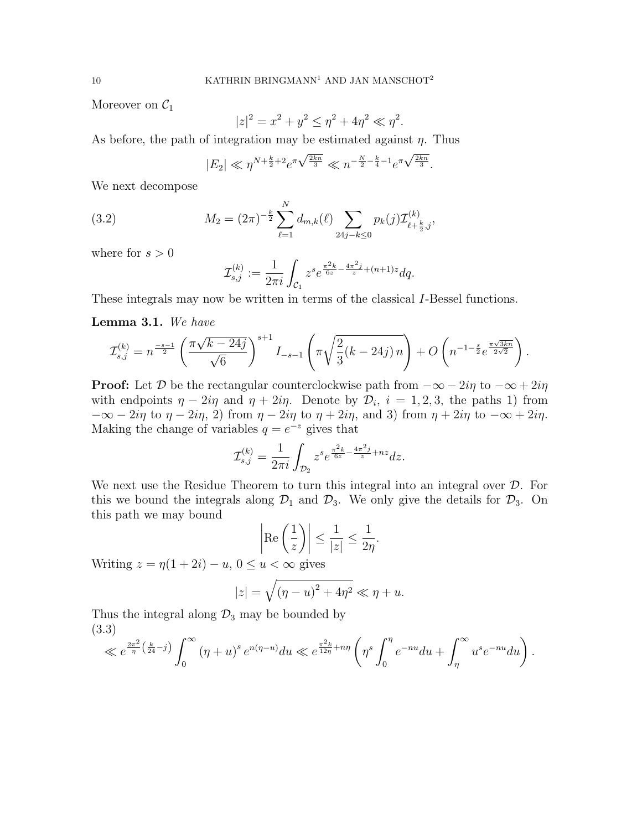Moreover on  $\mathcal{C}_1$ 

$$
|z|^2 = x^2 + y^2 \le \eta^2 + 4\eta^2 \ll \eta^2.
$$

As before, the path of integration may be estimated against  $\eta$ . Thus

$$
|E_2| \ll \eta^{N + \frac{k}{2} + 2} e^{\pi \sqrt{\frac{2kn}{3}}} \ll n^{-\frac{N}{2} - \frac{k}{4} - 1} e^{\pi \sqrt{\frac{2kn}{3}}}.
$$

We next decompose

(3.2) 
$$
M_2 = (2\pi)^{-\frac{k}{2}} \sum_{\ell=1}^N d_{m,k}(\ell) \sum_{24j-k \leq 0} p_k(j) \mathcal{I}^{(k)}_{\ell+\frac{k}{2},j},
$$

where for  $s > 0$ 

$$
\mathcal{I}_{s,j}^{(k)} := \frac{1}{2\pi i} \int_{\mathcal{C}_1} z^s e^{\frac{\pi^2 k}{6z} - \frac{4\pi^2 j}{z} + (n+1)z} dq.
$$

These integrals may now be written in terms of the classical I-Bessel functions.

#### Lemma 3.1. We have

$$
\mathcal{I}_{s,j}^{(k)} = n^{\frac{-s-1}{2}} \left( \frac{\pi \sqrt{k-24j}}{\sqrt{6}} \right)^{s+1} I_{-s-1} \left( \pi \sqrt{\frac{2}{3} (k-24j) n} \right) + O\left( n^{-1-\frac{s}{2}} e^{\frac{\pi \sqrt{3kn}}{2\sqrt{2}}} \right).
$$

**Proof:** Let D be the rectangular counterclockwise path from  $-\infty - 2i\eta$  to  $-\infty + 2i\eta$ with endpoints  $\eta - 2i\eta$  and  $\eta + 2i\eta$ . Denote by  $\mathcal{D}_i$ ,  $i = 1, 2, 3$ , the paths 1) from  $-\infty - 2i\eta$  to  $\eta - 2i\eta$ , 2) from  $\eta - 2i\eta$  to  $\eta + 2i\eta$ , and 3) from  $\eta + 2i\eta$  to  $-\infty + 2i\eta$ . Making the change of variables  $q = e^{-z}$  gives that

$$
\mathcal{I}_{s,j}^{(k)} = \frac{1}{2\pi i} \int_{\mathcal{D}_2} z^s e^{\frac{\pi^2 k}{6z} - \frac{4\pi^2 j}{z} + nz} dz.
$$

We next use the Residue Theorem to turn this integral into an integral over  $\mathcal{D}$ . For this we bound the integrals along  $\mathcal{D}_1$  and  $\mathcal{D}_3$ . We only give the details for  $\mathcal{D}_3$ . On this path we may bound

$$
\left|\operatorname{Re}\left(\frac{1}{z}\right)\right| \le \frac{1}{|z|} \le \frac{1}{2\eta}.
$$

Writing  $z = \eta(1 + 2i) - u$ ,  $0 \le u < \infty$  gives

$$
|z| = \sqrt{\left(\eta - u\right)^2 + 4\eta^2} \ll \eta + u.
$$

Thus the integral along  $\mathcal{D}_3$  may be bounded by (3.3)

$$
\ll e^{\frac{2\pi^2}{\eta}\left(\frac{k}{24}-j\right)}\int_0^\infty\left(\eta+u\right)^se^{n(\eta-u)}du\ll e^{\frac{\pi^2k}{12\eta}+n\eta}\left(\eta^s\int_0^\eta e^{-nu}du+\int_\eta^\infty u^se^{-nu}du\right)
$$

.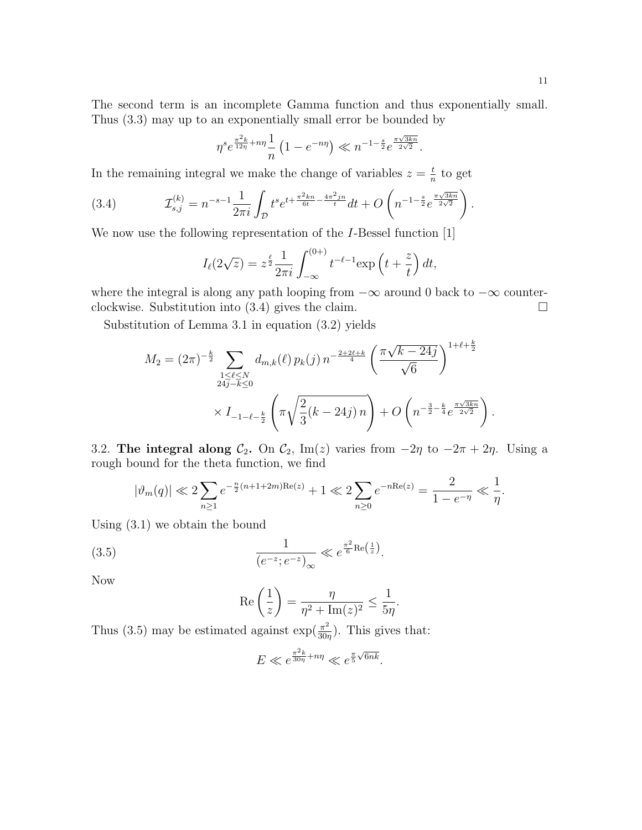.

.

The second term is an incomplete Gamma function and thus exponentially small. Thus (3.3) may up to an exponentially small error be bounded by

$$
\eta^{s}e^{\frac{\pi^2 k}{12\eta}+n\eta}\frac{1}{n}\left(1-e^{-n\eta}\right)\ll n^{-1-\frac{s}{2}}e^{\frac{\pi\sqrt{3kn}}{2\sqrt{2}}}.
$$

In the remaining integral we make the change of variables  $z = \frac{t}{n}$  $\frac{t}{n}$  to get

(3.4) 
$$
\mathcal{I}_{s,j}^{(k)} = n^{-s-1} \frac{1}{2\pi i} \int_{\mathcal{D}} t^s e^{t + \frac{\pi^2 k n}{6t} - \frac{4\pi^2 j n}{t}} dt + O\left(n^{-1-\frac{s}{2}} e^{\frac{\pi \sqrt{3k n}}{2\sqrt{2}}}\right)
$$

We now use the following representation of the *I*-Bessel function [1]

$$
I_{\ell}(2\sqrt{z}) = z^{\frac{\ell}{2}} \frac{1}{2\pi i} \int_{-\infty}^{(0+)} t^{-\ell-1} \exp\left(t + \frac{z}{t}\right) dt,
$$

where the integral is along any path looping from  $-\infty$  around 0 back to  $-\infty$  counterclockwise. Substitution into (3.4) gives the claim.  $\square$ 

Substitution of Lemma 3.1 in equation (3.2) yields

$$
M_2 = (2\pi)^{-\frac{k}{2}} \sum_{\substack{1 \le \ell \le N \\ 24j - k \le 0}} d_{m,k}(\ell) p_k(j) n^{-\frac{2+2\ell+k}{4}} \left(\frac{\pi\sqrt{k-24j}}{\sqrt{6}}\right)^{1+\ell+\frac{k}{2}}
$$
  
 
$$
\times I_{-1-\ell-\frac{k}{2}} \left(\pi\sqrt{\frac{2}{3}(k-24j)n}\right) + O\left(n^{-\frac{3}{2}-\frac{k}{4}}e^{\frac{\pi\sqrt{3kn}}{2\sqrt{2}}}\right)
$$

3.2. The integral along  $C_2$ . On  $C_2$ , Im(z) varies from  $-2\eta$  to  $-2\pi + 2\eta$ . Using a rough bound for the theta function, we find

$$
|\vartheta_m(q)| \ll 2 \sum_{n\geq 1} e^{-\frac{n}{2}(n+1+2m)\text{Re}(z)} + 1 \ll 2 \sum_{n\geq 0} e^{-n\text{Re}(z)} = \frac{2}{1 - e^{-\eta}} \ll \frac{1}{\eta}.
$$

Using (3.1) we obtain the bound

(3.5) 
$$
\frac{1}{(e^{-z}; e^{-z})_{\infty}} \ll e^{\frac{\pi^2}{6} \text{Re}(\frac{1}{z})}.
$$

Now

$$
\operatorname{Re}\left(\frac{1}{z}\right) = \frac{\eta}{\eta^2 + \operatorname{Im}(z)^2} \le \frac{1}{5\eta}.
$$

Thus (3.5) may be estimated against  $\exp(\frac{\pi^2}{30}$  $\frac{\pi^2}{30\eta}$ ). This gives that:

$$
E \ll e^{\frac{\pi^2 k}{30\eta} + n\eta} \ll e^{\frac{\pi}{5}\sqrt{6nk}}.
$$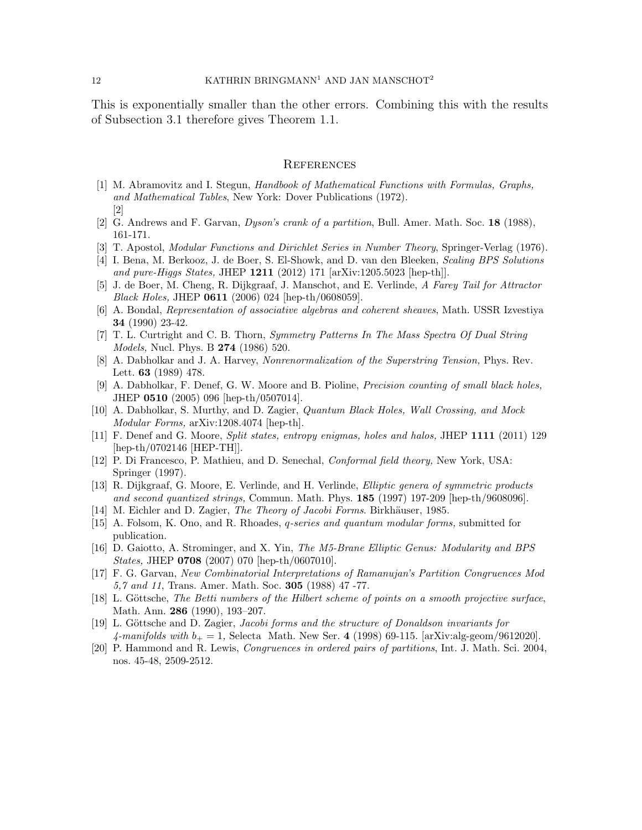This is exponentially smaller than the other errors. Combining this with the results of Subsection 3.1 therefore gives Theorem 1.1.

#### **REFERENCES**

- [1] M. Abramovitz and I. Stegun, Handbook of Mathematical Functions with Formulas, Graphs, and Mathematical Tables, New York: Dover Publications (1972). [2]
- [2] G. Andrews and F. Garvan, Dyson's crank of a partition, Bull. Amer. Math. Soc. 18 (1988), 161-171.
- [3] T. Apostol, Modular Functions and Dirichlet Series in Number Theory, Springer-Verlag (1976).
- [4] I. Bena, M. Berkooz, J. de Boer, S. El-Showk, and D. van den Bleeken, Scaling BPS Solutions and pure-Higgs States, JHEP 1211 (2012) 171 [arXiv:1205.5023 [hep-th]].
- [5] J. de Boer, M. Cheng, R. Dijkgraaf, J. Manschot, and E. Verlinde, A Farey Tail for Attractor *Black Holes*, JHEP  $0611$  (2006) 024 [hep-th/0608059].
- [6] A. Bondal, Representation of associative algebras and coherent sheaves, Math. USSR Izvestiya 34 (1990) 23-42.
- [7] T. L. Curtright and C. B. Thorn, Symmetry Patterns In The Mass Spectra Of Dual String *Models*, Nucl. Phys. B **274** (1986) 520.
- [8] A. Dabholkar and J. A. Harvey, Nonrenormalization of the Superstring Tension, Phys. Rev. Lett. 63 (1989) 478.
- [9] A. Dabholkar, F. Denef, G. W. Moore and B. Pioline, Precision counting of small black holes, JHEP 0510 (2005) 096 [hep-th/0507014].
- [10] A. Dabholkar, S. Murthy, and D. Zagier, Quantum Black Holes, Wall Crossing, and Mock Modular Forms, arXiv:1208.4074 [hep-th].
- [11] F. Denef and G. Moore, Split states, entropy enigmas, holes and halos, JHEP 1111 (2011) 129 [hep-th/0702146 [HEP-TH]].
- [12] P. Di Francesco, P. Mathieu, and D. Senechal, Conformal field theory, New York, USA: Springer (1997).
- [13] R. Dijkgraaf, G. Moore, E. Verlinde, and H. Verlinde, Elliptic genera of symmetric products and second quantized strings, Commun. Math. Phys. 185 (1997) 197-209 [hep-th/9608096].
- [14] M. Eichler and D. Zagier, *The Theory of Jacobi Forms*. Birkhäuser, 1985.
- [15] A. Folsom, K. Ono, and R. Rhoades, q-series and quantum modular forms, submitted for publication.
- [16] D. Gaiotto, A. Strominger, and X. Yin, The M5-Brane Elliptic Genus: Modularity and BPS States, JHEP 0708 (2007) 070 [hep-th/0607010].
- [17] F. G. Garvan, New Combinatorial Interpretations of Ramanujan's Partition Congruences Mod 5,7 and 11, Trans. Amer. Math. Soc. 305 (1988) 47 -77.
- [18] L. Göttsche, The Betti numbers of the Hilbert scheme of points on a smooth projective surface, Math. Ann. 286 (1990), 193–207.
- [19] L. Göttsche and D. Zagier, Jacobi forms and the structure of Donaldson invariants for 4-manifolds with  $b_+ = 1$ , Selecta Math. New Ser. 4 (1998) 69-115. [arXiv:alg-geom/9612020].
- [20] P. Hammond and R. Lewis, Congruences in ordered pairs of partitions, Int. J. Math. Sci. 2004, nos. 45-48, 2509-2512.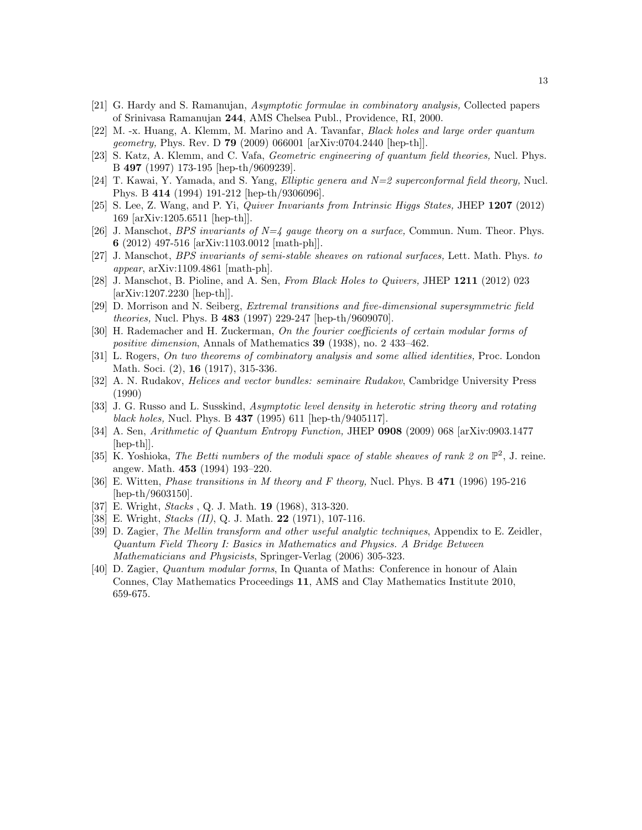- [21] G. Hardy and S. Ramanujan, Asymptotic formulae in combinatory analysis, Collected papers of Srinivasa Ramanujan 244, AMS Chelsea Publ., Providence, RI, 2000.
- [22] M. -x. Huang, A. Klemm, M. Marino and A. Tavanfar, Black holes and large order quantum geometry, Phys. Rev. D 79 (2009) 066001 [arXiv:0704.2440 [hep-th]].
- [23] S. Katz, A. Klemm, and C. Vafa, Geometric engineering of quantum field theories, Nucl. Phys. B 497 (1997) 173-195 [hep-th/9609239].
- [24] T. Kawai, Y. Yamada, and S. Yang, *Elliptic genera and*  $N=2$  superconformal field theory, Nucl. Phys. B 414 (1994) 191-212 [hep-th/9306096].
- [25] S. Lee, Z. Wang, and P. Yi, Quiver Invariants from Intrinsic Higgs States, JHEP 1207 (2012) 169 [arXiv:1205.6511 [hep-th]].
- [26] J. Manschot, *BPS invariants of*  $N=4$  *gauge theory on a surface*, Commun. Num. Theor. Phys. 6 (2012) 497-516 [arXiv:1103.0012 [math-ph]].
- [27] J. Manschot, BPS invariants of semi-stable sheaves on rational surfaces, Lett. Math. Phys. to appear, arXiv:1109.4861 [math-ph].
- [28] J. Manschot, B. Pioline, and A. Sen, From Black Holes to Quivers, JHEP 1211 (2012) 023 [arXiv:1207.2230 [hep-th]].
- [29] D. Morrison and N. Seiberg, Extremal transitions and five-dimensional supersymmetric field theories, Nucl. Phys. B 483 (1997) 229-247 [hep-th/9609070].
- [30] H. Rademacher and H. Zuckerman, On the fourier coefficients of certain modular forms of positive dimension, Annals of Mathematics 39 (1938), no. 2 433–462.
- [31] L. Rogers, On two theorems of combinatory analysis and some allied identities, Proc. London Math. Soci. (2), **16** (1917), 315-336.
- [32] A. N. Rudakov, Helices and vector bundles: seminaire Rudakov, Cambridge University Press (1990)
- [33] J. G. Russo and L. Susskind, Asymptotic level density in heterotic string theory and rotating black holes, Nucl. Phys. B 437 (1995) 611 [hep-th/9405117].
- [34] A. Sen, Arithmetic of Quantum Entropy Function, JHEP 0908 (2009) 068 [arXiv:0903.1477 [hep-th]].
- [35] K. Yoshioka, The Betti numbers of the moduli space of stable sheaves of rank 2 on  $\mathbb{P}^2$ , J. reine. angew. Math. 453 (1994) 193–220.
- [36] E. Witten, Phase transitions in M theory and F theory, Nucl. Phys. B 471 (1996) 195-216 [hep-th/9603150].
- [37] E. Wright, *Stacks*, Q. J. Math. **19** (1968), 313-320.
- [38] E. Wright, *Stacks (II)*, Q. J. Math. **22** (1971), 107-116.
- [39] D. Zagier, The Mellin transform and other useful analytic techniques, Appendix to E. Zeidler, Quantum Field Theory I: Basics in Mathematics and Physics. A Bridge Between Mathematicians and Physicists, Springer-Verlag (2006) 305-323.
- [40] D. Zagier, Quantum modular forms, In Quanta of Maths: Conference in honour of Alain Connes, Clay Mathematics Proceedings 11, AMS and Clay Mathematics Institute 2010, 659-675.